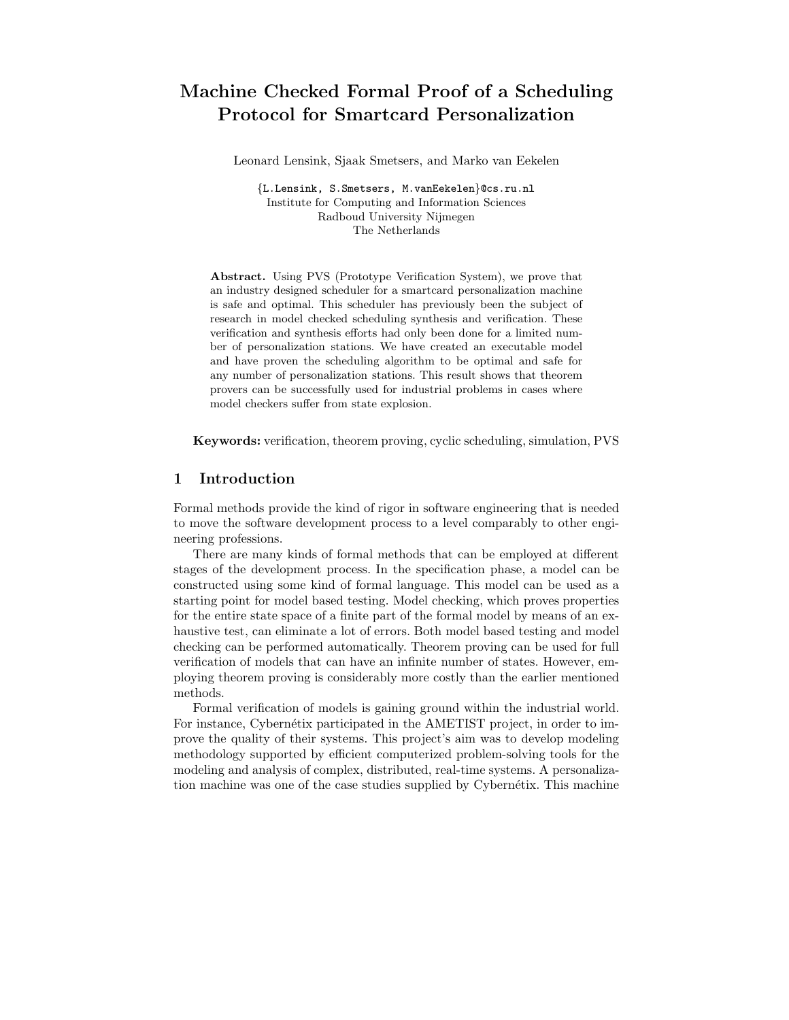# Machine Checked Formal Proof of a Scheduling Protocol for Smartcard Personalization

Leonard Lensink, Sjaak Smetsers, and Marko van Eekelen

{L.Lensink, S.Smetsers, M.vanEekelen}@cs.ru.nl Institute for Computing and Information Sciences Radboud University Nijmegen The Netherlands

Abstract. Using PVS (Prototype Verification System), we prove that an industry designed scheduler for a smartcard personalization machine is safe and optimal. This scheduler has previously been the subject of research in model checked scheduling synthesis and verification. These verification and synthesis efforts had only been done for a limited number of personalization stations. We have created an executable model and have proven the scheduling algorithm to be optimal and safe for any number of personalization stations. This result shows that theorem provers can be successfully used for industrial problems in cases where model checkers suffer from state explosion.

Keywords: verification, theorem proving, cyclic scheduling, simulation, PVS

### 1 Introduction

Formal methods provide the kind of rigor in software engineering that is needed to move the software development process to a level comparably to other engineering professions.

There are many kinds of formal methods that can be employed at different stages of the development process. In the specification phase, a model can be constructed using some kind of formal language. This model can be used as a starting point for model based testing. Model checking, which proves properties for the entire state space of a finite part of the formal model by means of an exhaustive test, can eliminate a lot of errors. Both model based testing and model checking can be performed automatically. Theorem proving can be used for full verification of models that can have an infinite number of states. However, employing theorem proving is considerably more costly than the earlier mentioned methods.

Formal verification of models is gaining ground within the industrial world. For instance, Cybernétix participated in the AMETIST project, in order to improve the quality of their systems. This project's aim was to develop modeling methodology supported by efficient computerized problem-solving tools for the modeling and analysis of complex, distributed, real-time systems. A personalization machine was one of the case studies supplied by Cybern´etix. This machine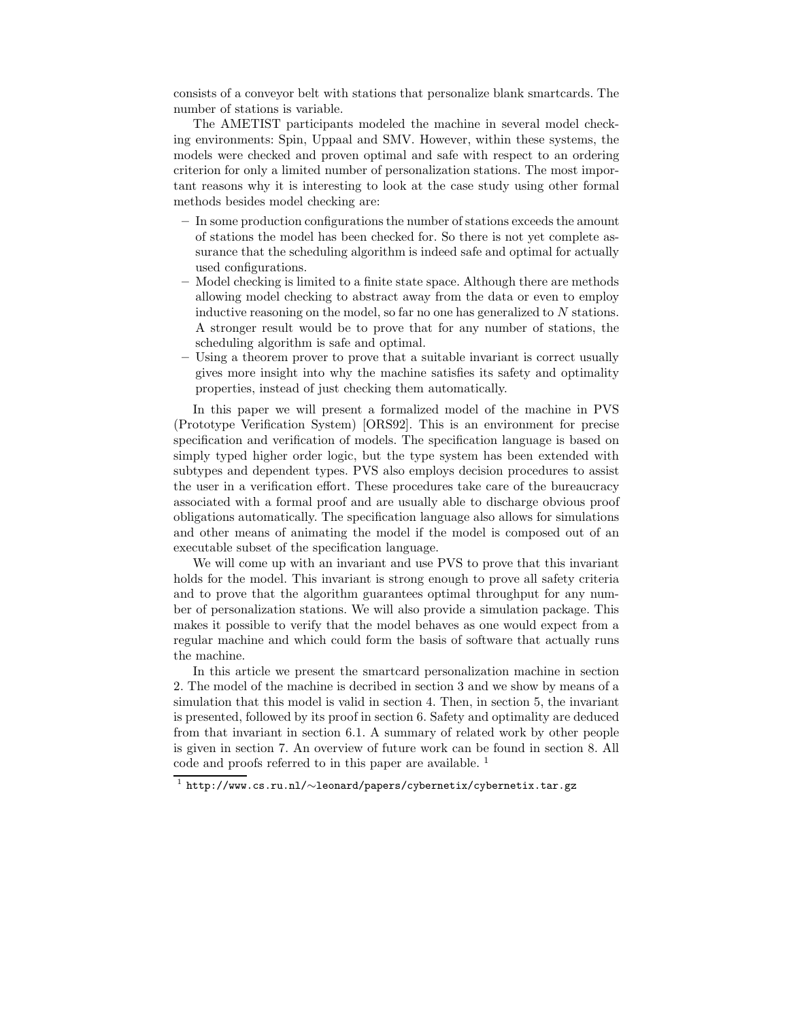consists of a conveyor belt with stations that personalize blank smartcards. The number of stations is variable.

The AMETIST participants modeled the machine in several model checking environments: Spin, Uppaal and SMV. However, within these systems, the models were checked and proven optimal and safe with respect to an ordering criterion for only a limited number of personalization stations. The most important reasons why it is interesting to look at the case study using other formal methods besides model checking are:

- In some production configurations the number of stations exceeds the amount of stations the model has been checked for. So there is not yet complete assurance that the scheduling algorithm is indeed safe and optimal for actually used configurations.
- Model checking is limited to a finite state space. Although there are methods allowing model checking to abstract away from the data or even to employ inductive reasoning on the model, so far no one has generalized to N stations. A stronger result would be to prove that for any number of stations, the scheduling algorithm is safe and optimal.
- Using a theorem prover to prove that a suitable invariant is correct usually gives more insight into why the machine satisfies its safety and optimality properties, instead of just checking them automatically.

In this paper we will present a formalized model of the machine in PVS (Prototype Verification System) [ORS92]. This is an environment for precise specification and verification of models. The specification language is based on simply typed higher order logic, but the type system has been extended with subtypes and dependent types. PVS also employs decision procedures to assist the user in a verification effort. These procedures take care of the bureaucracy associated with a formal proof and are usually able to discharge obvious proof obligations automatically. The specification language also allows for simulations and other means of animating the model if the model is composed out of an executable subset of the specification language.

We will come up with an invariant and use PVS to prove that this invariant holds for the model. This invariant is strong enough to prove all safety criteria and to prove that the algorithm guarantees optimal throughput for any number of personalization stations. We will also provide a simulation package. This makes it possible to verify that the model behaves as one would expect from a regular machine and which could form the basis of software that actually runs the machine.

In this article we present the smartcard personalization machine in section 2. The model of the machine is decribed in section 3 and we show by means of a simulation that this model is valid in section 4. Then, in section 5, the invariant is presented, followed by its proof in section 6. Safety and optimality are deduced from that invariant in section 6.1. A summary of related work by other people is given in section 7. An overview of future work can be found in section 8. All code and proofs referred to in this paper are available. <sup>1</sup>

<sup>1</sup> http://www.cs.ru.nl/∼leonard/papers/cybernetix/cybernetix.tar.gz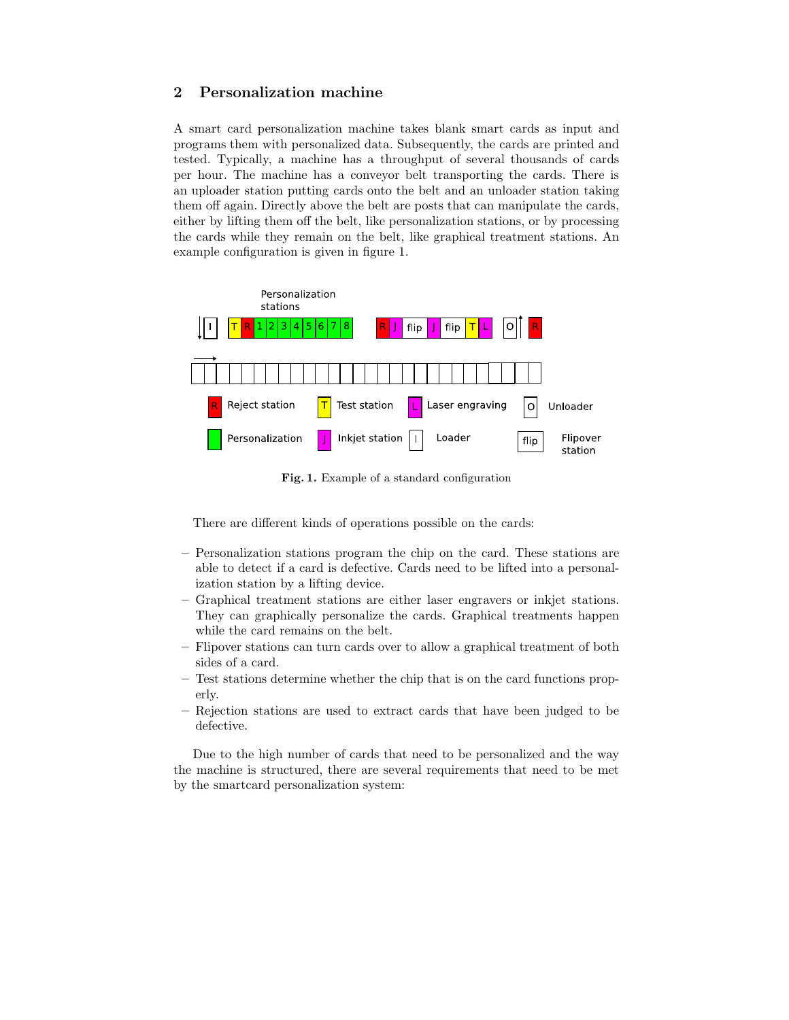# 2 Personalization machine

A smart card personalization machine takes blank smart cards as input and programs them with personalized data. Subsequently, the cards are printed and tested. Typically, a machine has a throughput of several thousands of cards per hour. The machine has a conveyor belt transporting the cards. There is an uploader station putting cards onto the belt and an unloader station taking them off again. Directly above the belt are posts that can manipulate the cards, either by lifting them off the belt, like personalization stations, or by processing the cards while they remain on the belt, like graphical treatment stations. An example configuration is given in figure 1.



Fig. 1. Example of a standard configuration

There are different kinds of operations possible on the cards:

- Personalization stations program the chip on the card. These stations are able to detect if a card is defective. Cards need to be lifted into a personalization station by a lifting device.
- Graphical treatment stations are either laser engravers or inkjet stations. They can graphically personalize the cards. Graphical treatments happen while the card remains on the belt.
- Flipover stations can turn cards over to allow a graphical treatment of both sides of a card.
- Test stations determine whether the chip that is on the card functions properly.
- Rejection stations are used to extract cards that have been judged to be defective.

Due to the high number of cards that need to be personalized and the way the machine is structured, there are several requirements that need to be met by the smartcard personalization system: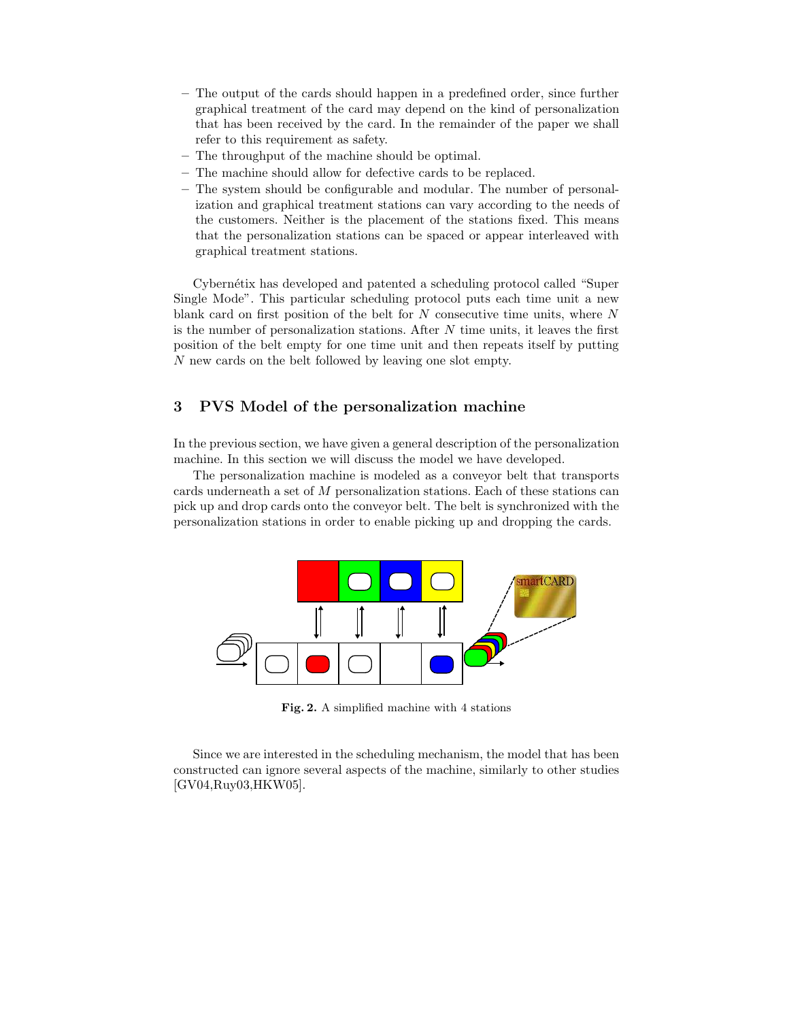- The output of the cards should happen in a predefined order, since further graphical treatment of the card may depend on the kind of personalization that has been received by the card. In the remainder of the paper we shall refer to this requirement as safety.
- The throughput of the machine should be optimal.
- The machine should allow for defective cards to be replaced.
- The system should be configurable and modular. The number of personalization and graphical treatment stations can vary according to the needs of the customers. Neither is the placement of the stations fixed. This means that the personalization stations can be spaced or appear interleaved with graphical treatment stations.

Cybernétix has developed and patented a scheduling protocol called "Super Single Mode". This particular scheduling protocol puts each time unit a new blank card on first position of the belt for  $N$  consecutive time units, where  $N$ is the number of personalization stations. After  $N$  time units, it leaves the first position of the belt empty for one time unit and then repeats itself by putting N new cards on the belt followed by leaving one slot empty.

## 3 PVS Model of the personalization machine

In the previous section, we have given a general description of the personalization machine. In this section we will discuss the model we have developed.

The personalization machine is modeled as a conveyor belt that transports cards underneath a set of M personalization stations. Each of these stations can pick up and drop cards onto the conveyor belt. The belt is synchronized with the personalization stations in order to enable picking up and dropping the cards.



Fig. 2. A simplified machine with 4 stations

Since we are interested in the scheduling mechanism, the model that has been constructed can ignore several aspects of the machine, similarly to other studies [GV04,Ruy03,HKW05].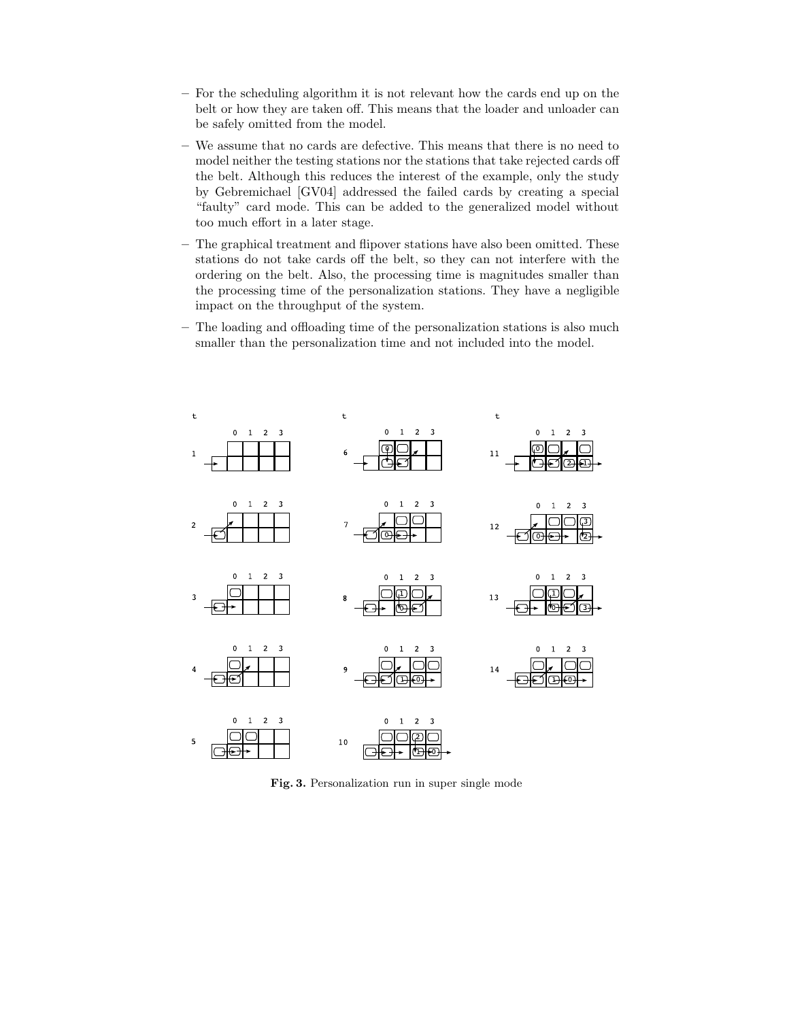- For the scheduling algorithm it is not relevant how the cards end up on the belt or how they are taken off. This means that the loader and unloader can be safely omitted from the model.
- We assume that no cards are defective. This means that there is no need to model neither the testing stations nor the stations that take rejected cards off the belt. Although this reduces the interest of the example, only the study by Gebremichael [GV04] addressed the failed cards by creating a special "faulty" card mode. This can be added to the generalized model without too much effort in a later stage.
- The graphical treatment and flipover stations have also been omitted. These stations do not take cards off the belt, so they can not interfere with the ordering on the belt. Also, the processing time is magnitudes smaller than the processing time of the personalization stations. They have a negligible impact on the throughput of the system.
- The loading and offloading time of the personalization stations is also much smaller than the personalization time and not included into the model.



Fig. 3. Personalization run in super single mode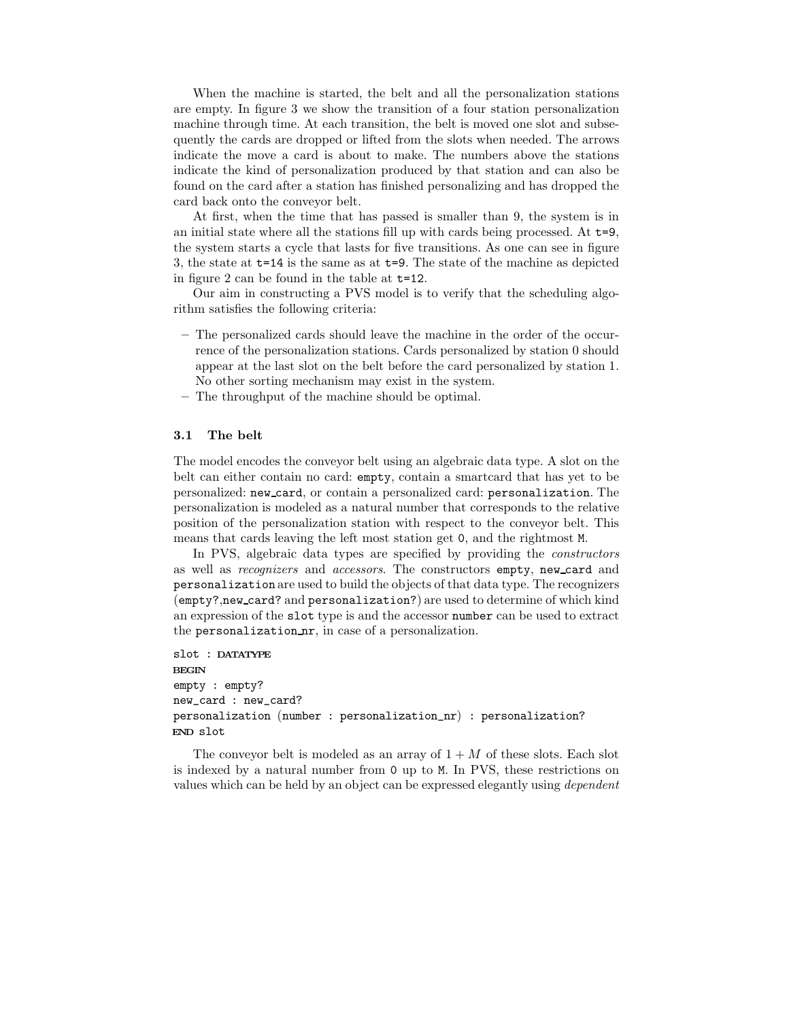When the machine is started, the belt and all the personalization stations are empty. In figure 3 we show the transition of a four station personalization machine through time. At each transition, the belt is moved one slot and subsequently the cards are dropped or lifted from the slots when needed. The arrows indicate the move a card is about to make. The numbers above the stations indicate the kind of personalization produced by that station and can also be found on the card after a station has finished personalizing and has dropped the card back onto the conveyor belt.

At first, when the time that has passed is smaller than 9, the system is in an initial state where all the stations fill up with cards being processed. At t=9, the system starts a cycle that lasts for five transitions. As one can see in figure 3, the state at t=14 is the same as at t=9. The state of the machine as depicted in figure 2 can be found in the table at t=12.

Our aim in constructing a PVS model is to verify that the scheduling algorithm satisfies the following criteria:

- The personalized cards should leave the machine in the order of the occurrence of the personalization stations. Cards personalized by station 0 should appear at the last slot on the belt before the card personalized by station 1. No other sorting mechanism may exist in the system.
- The throughput of the machine should be optimal.

#### 3.1 The belt

The model encodes the conveyor belt using an algebraic data type. A slot on the belt can either contain no card: empty, contain a smartcard that has yet to be personalized: new card, or contain a personalized card: personalization. The personalization is modeled as a natural number that corresponds to the relative position of the personalization station with respect to the conveyor belt. This means that cards leaving the left most station get 0, and the rightmost M.

In PVS, algebraic data types are specified by providing the constructors as well as *recognizers* and *accessors*. The constructors empty, new card and personalization are used to build the objects of that data type. The recognizers (empty?,new card? and personalization?) are used to determine of which kind an expression of the slot type is and the accessor number can be used to extract the personalization nr, in case of a personalization.

```
slot : DATATYPE
BEGIN
empty : empty?
new_card : new_card?
personalization (number : personalization_nr) : personalization?
END slot
```
The conveyor belt is modeled as an array of  $1 + M$  of these slots. Each slot is indexed by a natural number from 0 up to M. In PVS, these restrictions on values which can be held by an object can be expressed elegantly using dependent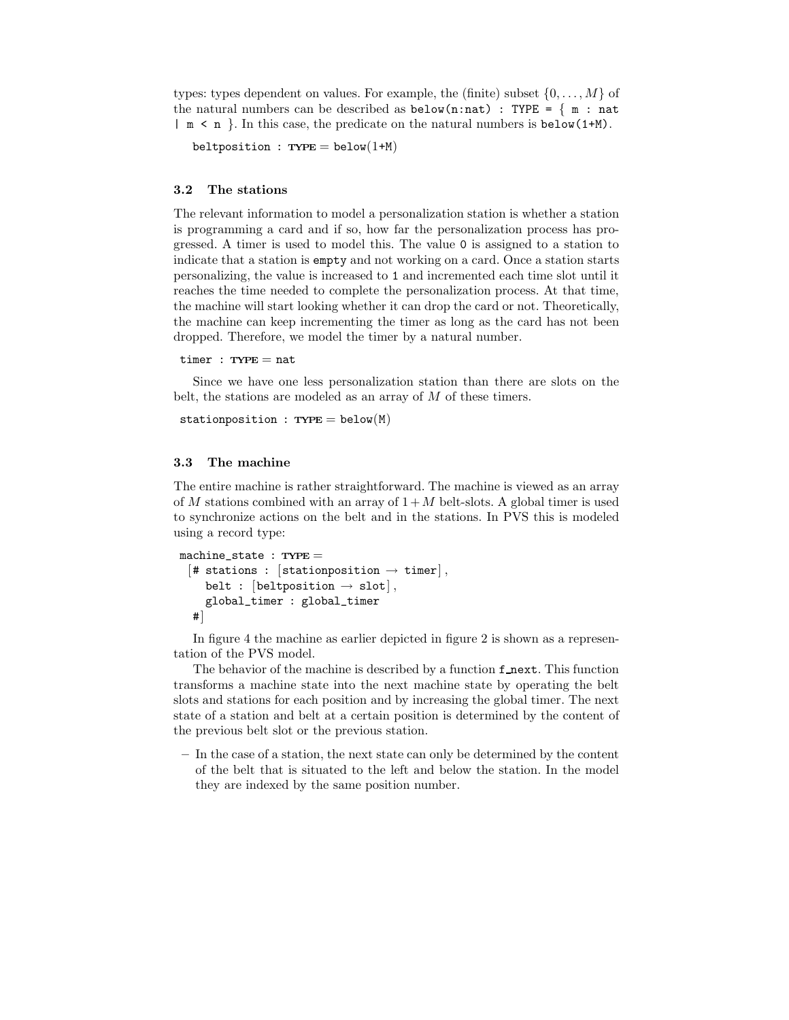types: types dependent on values. For example, the (finite) subset  $\{0, \ldots, M\}$  of the natural numbers can be described as  $\texttt{below}(\texttt{n:nat})$  : TYPE = { m : nat  $\mid m \leq n \rangle$ . In this case, the predicate on the natural numbers is below(1+M).

```
beltposition : \text{ryPE} = \text{below}(1+M)
```
#### 3.2 The stations

The relevant information to model a personalization station is whether a station is programming a card and if so, how far the personalization process has progressed. A timer is used to model this. The value 0 is assigned to a station to indicate that a station is empty and not working on a card. Once a station starts personalizing, the value is increased to 1 and incremented each time slot until it reaches the time needed to complete the personalization process. At that time, the machine will start looking whether it can drop the card or not. Theoretically, the machine can keep incrementing the timer as long as the card has not been dropped. Therefore, we model the timer by a natural number.

timer : TYPE = nat

Since we have one less personalization station than there are slots on the belt, the stations are modeled as an array of  $M$  of these timers.

stationposition :  $\text{ryPE} = \text{below}(M)$ 

#### 3.3 The machine

The entire machine is rather straightforward. The machine is viewed as an array of M stations combined with an array of  $1 + M$  belt-slots. A global timer is used to synchronize actions on the belt and in the stations. In PVS this is modeled using a record type:

```
machine_state : TYPE =
 \left[\text{\# stations : }[\text{stationposition}\rightarrow\text{timer}]\right]belt : [beltposition \rightarrow slot],
     global_timer : global_timer
  #]
```
In figure 4 the machine as earlier depicted in figure 2 is shown as a representation of the PVS model.

The behavior of the machine is described by a function  $f_{\text{next}}$ . This function transforms a machine state into the next machine state by operating the belt slots and stations for each position and by increasing the global timer. The next state of a station and belt at a certain position is determined by the content of the previous belt slot or the previous station.

– In the case of a station, the next state can only be determined by the content of the belt that is situated to the left and below the station. In the model they are indexed by the same position number.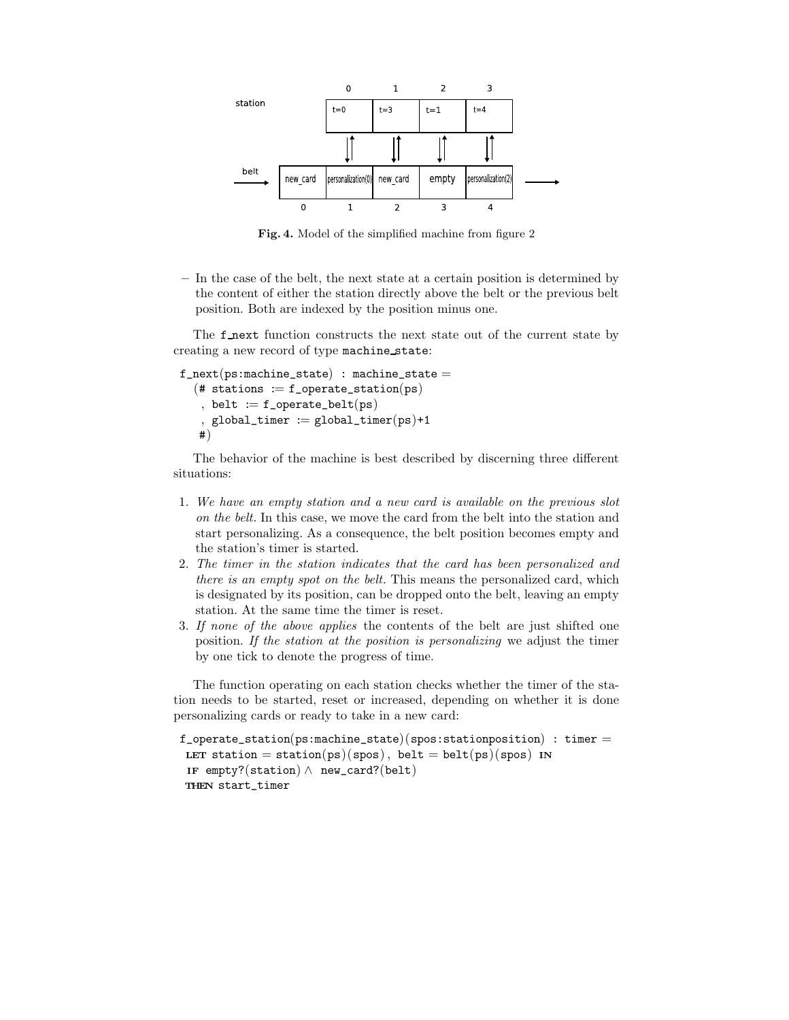

Fig. 4. Model of the simplified machine from figure 2

– In the case of the belt, the next state at a certain position is determined by the content of either the station directly above the belt or the previous belt position. Both are indexed by the position minus one.

The f\_next function constructs the next state out of the current state by creating a new record of type machine state:

```
f_{\text{next}}(ps:machine\_state) : machine_state =
  (\# stations := f_operate_station(ps)
    , belt := f_{\text{-}operatorcal{e}\text{-}belt(ps)global_time := global_timer(ps)+1
   #)
```
The behavior of the machine is best described by discerning three different situations:

- 1. We have an empty station and a new card is available on the previous slot on the belt. In this case, we move the card from the belt into the station and start personalizing. As a consequence, the belt position becomes empty and the station's timer is started.
- 2. The timer in the station indicates that the card has been personalized and there is an empty spot on the belt. This means the personalized card, which is designated by its position, can be dropped onto the belt, leaving an empty station. At the same time the timer is reset.
- 3. If none of the above applies the contents of the belt are just shifted one position. If the station at the position is personalizing we adjust the timer by one tick to denote the progress of time.

The function operating on each station checks whether the timer of the station needs to be started, reset or increased, depending on whether it is done personalizing cards or ready to take in a new card:

```
f-operate_station(ps:machine_state)(spos:stationposition) : timer =
LET station = station(ps)(spos), belt = belt(ps)(spos) IN
 IF empty?(station) \land new_card?(belt)
THEN start_timer
```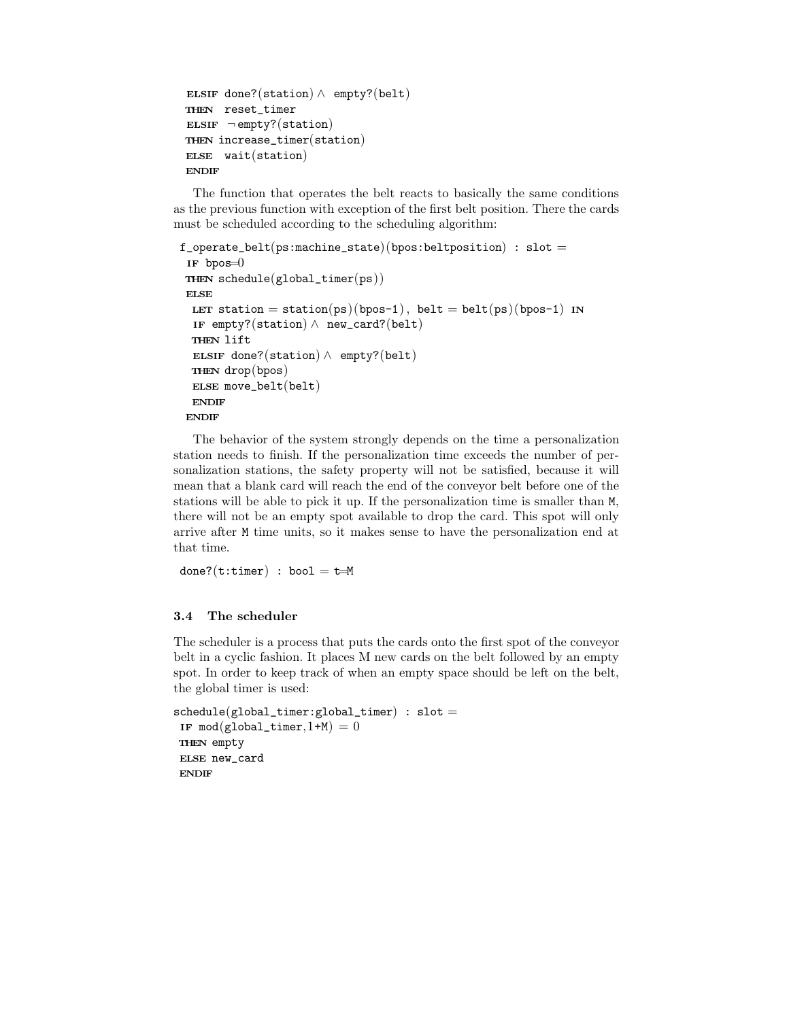```
ELSIF done?(station) \land empty?(belt)
THEN reset timer
ELSIF \neg empty?(station)
THEN increase_timer(station)
ELSE wait(station)
ENDIF
```
The function that operates the belt reacts to basically the same conditions as the previous function with exception of the first belt position. There the cards must be scheduled according to the scheduling algorithm:

```
f_operate_belt(ps:machine_state)(bpos:beltposition) : slot =
 IF bpos=0
THEN schedule(global_timer(ps))
ELSE
  LET station = station(ps)(bpos-1), belt = belt(ps)(bpos-1) IN
  IF empty?(station) ∧ new_card?(belt)
 THEN lift
  ELSIF done?(station) \land empty?(belt)
 THEN drop(bpos)
  ELSE move_belt(belt)
  ENDIF
ENDIF
```
The behavior of the system strongly depends on the time a personalization station needs to finish. If the personalization time exceeds the number of personalization stations, the safety property will not be satisfied, because it will mean that a blank card will reach the end of the conveyor belt before one of the stations will be able to pick it up. If the personalization time is smaller than M, there will not be an empty spot available to drop the card. This spot will only arrive after M time units, so it makes sense to have the personalization end at that time.

 $done?(t:timer) : bool = t = M$ 

## 3.4 The scheduler

The scheduler is a process that puts the cards onto the first spot of the conveyor belt in a cyclic fashion. It places M new cards on the belt followed by an empty spot. In order to keep track of when an empty space should be left on the belt, the global timer is used:

```
schedule(global_timer:global_timer) : slot =
IF mod(global_timer,1+M) = 0THEN empty
ELSE new_card
ENDIF
```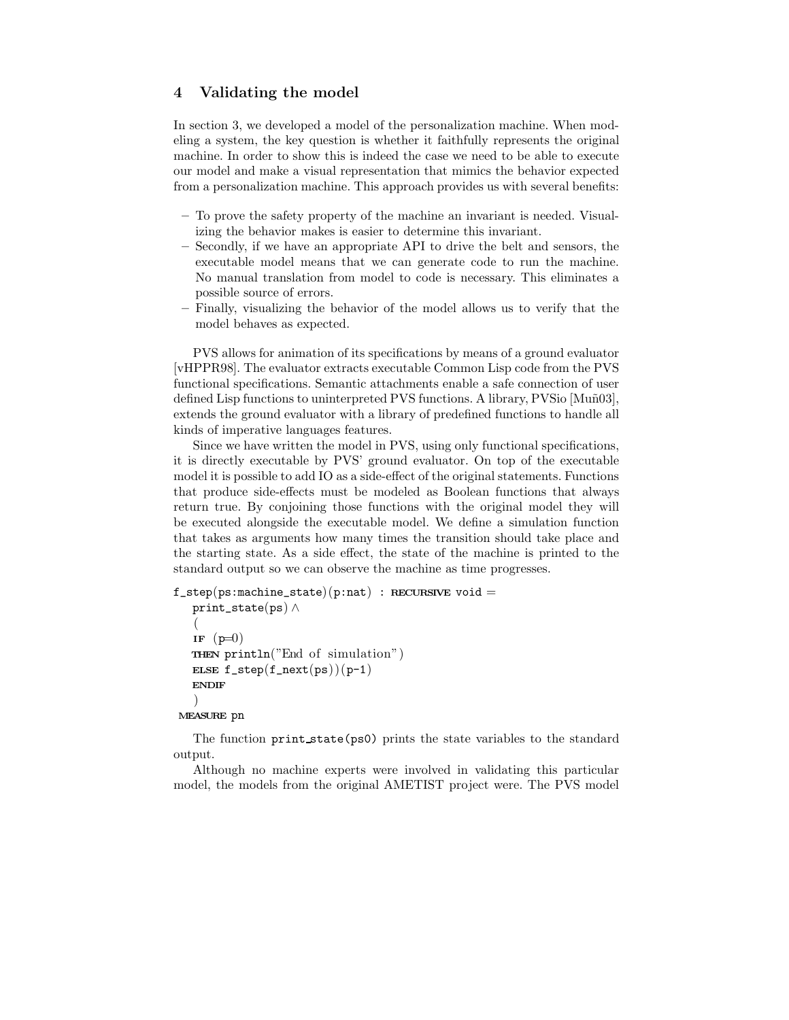## 4 Validating the model

In section 3, we developed a model of the personalization machine. When modeling a system, the key question is whether it faithfully represents the original machine. In order to show this is indeed the case we need to be able to execute our model and make a visual representation that mimics the behavior expected from a personalization machine. This approach provides us with several benefits:

- To prove the safety property of the machine an invariant is needed. Visualizing the behavior makes is easier to determine this invariant.
- Secondly, if we have an appropriate API to drive the belt and sensors, the executable model means that we can generate code to run the machine. No manual translation from model to code is necessary. This eliminates a possible source of errors.
- Finally, visualizing the behavior of the model allows us to verify that the model behaves as expected.

PVS allows for animation of its specifications by means of a ground evaluator [vHPPR98]. The evaluator extracts executable Common Lisp code from the PVS functional specifications. Semantic attachments enable a safe connection of user defined Lisp functions to uninterpreted PVS functions. A library, PVSio [Muñ03], extends the ground evaluator with a library of predefined functions to handle all kinds of imperative languages features.

Since we have written the model in PVS, using only functional specifications, it is directly executable by PVS' ground evaluator. On top of the executable model it is possible to add IO as a side-effect of the original statements. Functions that produce side-effects must be modeled as Boolean functions that always return true. By conjoining those functions with the original model they will be executed alongside the executable model. We define a simulation function that takes as arguments how many times the transition should take place and the starting state. As a side effect, the state of the machine is printed to the standard output so we can observe the machine as time progresses.

```
f_step(ps:machine_state)(p:nat) : RECURSIVE void =
  print_state(ps) ∧
   (
  IF (p=0)THEN println("End of simulation")
  ELSE f_step(f_next(ps))(p-1)ENDIF
   )
```
MEASURE pn

The function print\_state(ps0) prints the state variables to the standard output.

Although no machine experts were involved in validating this particular model, the models from the original AMETIST project were. The PVS model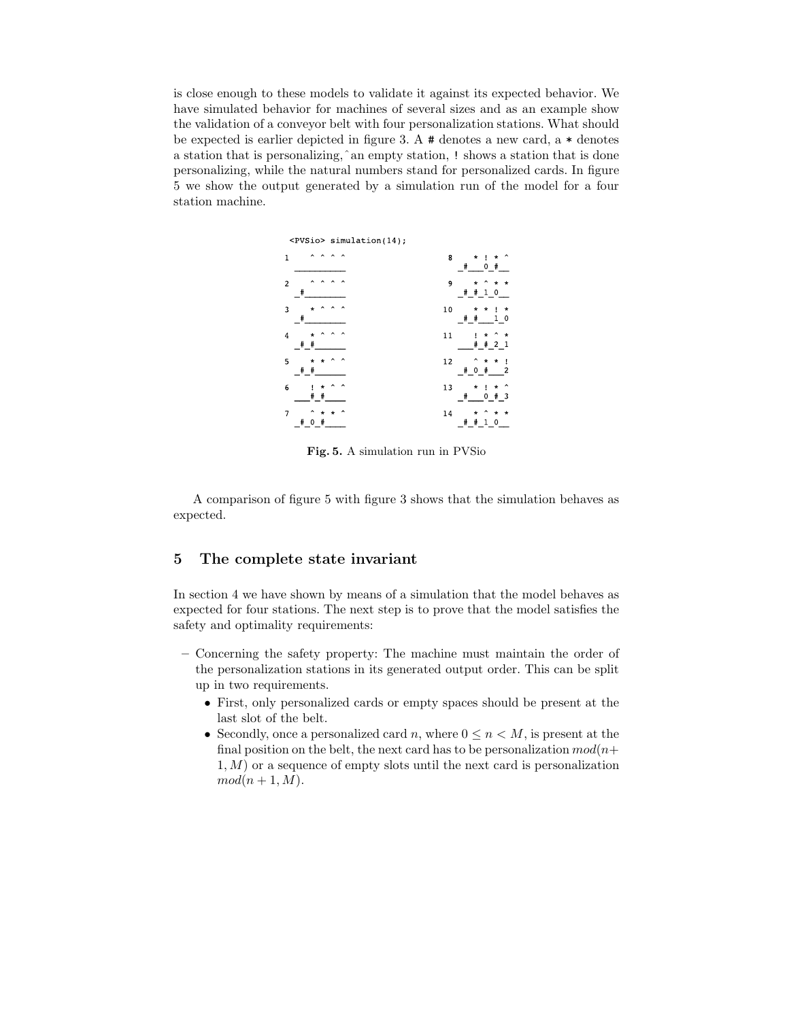is close enough to these models to validate it against its expected behavior. We have simulated behavior for machines of several sizes and as an example show the validation of a conveyor belt with four personalization stations. What should be expected is earlier depicted in figure 3. A  $#$  denotes a new card, a  $*$  denotes a station that is personalizing,ˆan empty station, ! shows a station that is done personalizing, while the natural numbers stand for personalized cards. In figure 5 we show the output generated by a simulation run of the model for a four station machine.

| $<$ PVSio> simulation(14); |                           |         |  |    |       |                 |                   |                 |   |
|----------------------------|---------------------------|---------|--|----|-------|-----------------|-------------------|-----------------|---|
| $\mathbf 1$                | $\lambda$                 |         |  | 8  | #     | $\ast$          | 0                 | $\star$<br>#    |   |
| $\overline{\mathbf{c}}$    | ^<br>#                    |         |  | 9  | #     | $\star$<br>#    | 1 <sub>0</sub>    | *               |   |
| 3                          | $\star$<br>#              |         |  | 10 | $#$ # | $\star$         | $\star$           | ī               |   |
| $\overline{4}$             | $\star$<br>#<br>#         |         |  | 11 |       | #               |                   | #2              |   |
| 5                          | $\star$<br>#<br>#         |         |  | 12 | #     | 0               | *<br>$\pmb{\ast}$ | $\star$         |   |
| 6                          | ï<br>*<br>#<br>#          |         |  | 13 | #     | $\star$         | I<br>0            | $\star$<br>$\#$ | f |
| 7                          | $\star$<br>$\#$<br>#<br>0 | $\star$ |  | 14 | $\#$  | $\star$<br>$\#$ | 1                 | $\star$<br>0    |   |

Fig. 5. A simulation run in PVSio

A comparison of figure 5 with figure 3 shows that the simulation behaves as expected.

## 5 The complete state invariant

In section 4 we have shown by means of a simulation that the model behaves as expected for four stations. The next step is to prove that the model satisfies the safety and optimality requirements:

- Concerning the safety property: The machine must maintain the order of the personalization stations in its generated output order. This can be split up in two requirements.
	- First, only personalized cards or empty spaces should be present at the last slot of the belt.
	- Secondly, once a personalized card n, where  $0 \le n \le M$ , is present at the final position on the belt, the next card has to be personalization  $mod(n+1)$  $1, M$ ) or a sequence of empty slots until the next card is personalization  $mod(n+1, M).$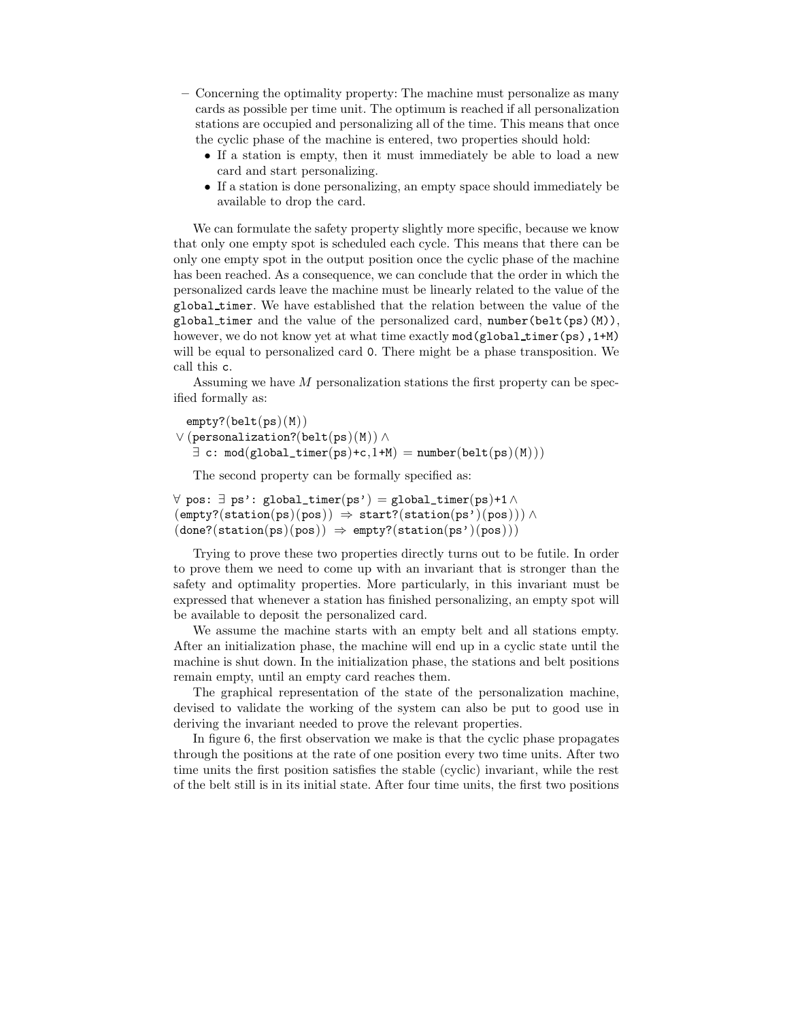- Concerning the optimality property: The machine must personalize as many cards as possible per time unit. The optimum is reached if all personalization stations are occupied and personalizing all of the time. This means that once the cyclic phase of the machine is entered, two properties should hold:
	- If a station is empty, then it must immediately be able to load a new card and start personalizing.
	- If a station is done personalizing, an empty space should immediately be available to drop the card.

We can formulate the safety property slightly more specific, because we know that only one empty spot is scheduled each cycle. This means that there can be only one empty spot in the output position once the cyclic phase of the machine has been reached. As a consequence, we can conclude that the order in which the personalized cards leave the machine must be linearly related to the value of the global timer. We have established that the relation between the value of the global timer and the value of the personalized card, number(belt(ps)(M)), however, we do not know yet at what time exactly  $mod(global_timer(ps),1+M)$ will be equal to personalized card  $0$ . There might be a phase transposition. We call this c.

Assuming we have M personalization stations the first property can be specified formally as:

 $empty?(belt(ps)(M))$ ∨ (personalization?(belt(ps)(M)) ∧  $\exists$  c: mod(global\_timer(ps)+c,1+M) = number(belt(ps)(M)))

The second property can be formally specified as:

```
\forall pos: \exists ps': global_timer(ps') = global_timer(ps)+1∧
(empty?({station(ps)}(pos)) \Rightarrow start?({station(ps)}(pos))) \wedge(done?(station(ps)(pos)) \Rightarrow empty?(station(ps')(pos)))
```
Trying to prove these two properties directly turns out to be futile. In order to prove them we need to come up with an invariant that is stronger than the safety and optimality properties. More particularly, in this invariant must be expressed that whenever a station has finished personalizing, an empty spot will be available to deposit the personalized card.

We assume the machine starts with an empty belt and all stations empty. After an initialization phase, the machine will end up in a cyclic state until the machine is shut down. In the initialization phase, the stations and belt positions remain empty, until an empty card reaches them.

The graphical representation of the state of the personalization machine, devised to validate the working of the system can also be put to good use in deriving the invariant needed to prove the relevant properties.

In figure 6, the first observation we make is that the cyclic phase propagates through the positions at the rate of one position every two time units. After two time units the first position satisfies the stable (cyclic) invariant, while the rest of the belt still is in its initial state. After four time units, the first two positions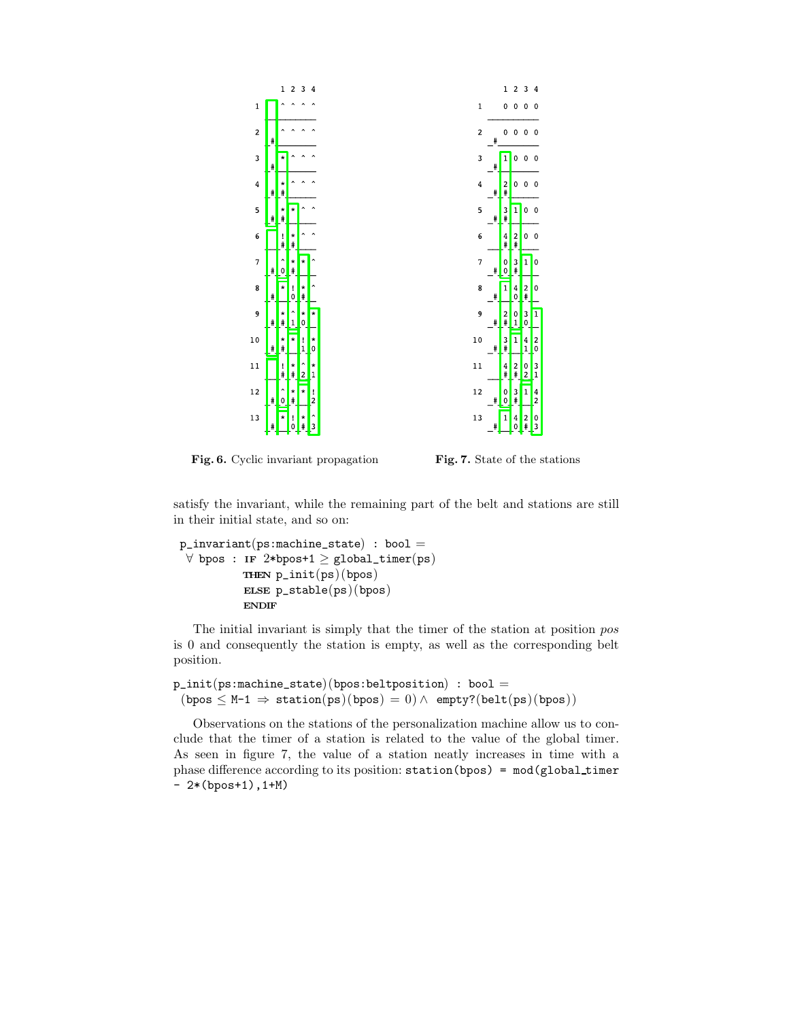

Fig. 6. Cyclic invariant propagation Fig. 7. State of the stations

satisfy the invariant, while the remaining part of the belt and stations are still in their initial state, and so on:

```
p\_invariant(ps:machine\_state) : bool =
\forall bpos : IF 2*bpos+1 \ge global_timer(ps)
          THEN p\_init(ps)(bpos)ELSE p_stable(ps)(bpos)
          ENDIF
```
The initial invariant is simply that the timer of the station at position pos is 0 and consequently the station is empty, as well as the corresponding belt position.

```
p\_init(ps:machine\_state)(bpos:beltposition) : bool =(bpos \leq M-1 \Rightarrow station(ps)(bpos) = 0) \land empty?(belt(ps)(bpos))
```
Observations on the stations of the personalization machine allow us to conclude that the timer of a station is related to the value of the global timer. As seen in figure 7, the value of a station neatly increases in time with a phase difference according to its position: station(bpos) = mod(global timer - 2\*(bpos+1),1+M)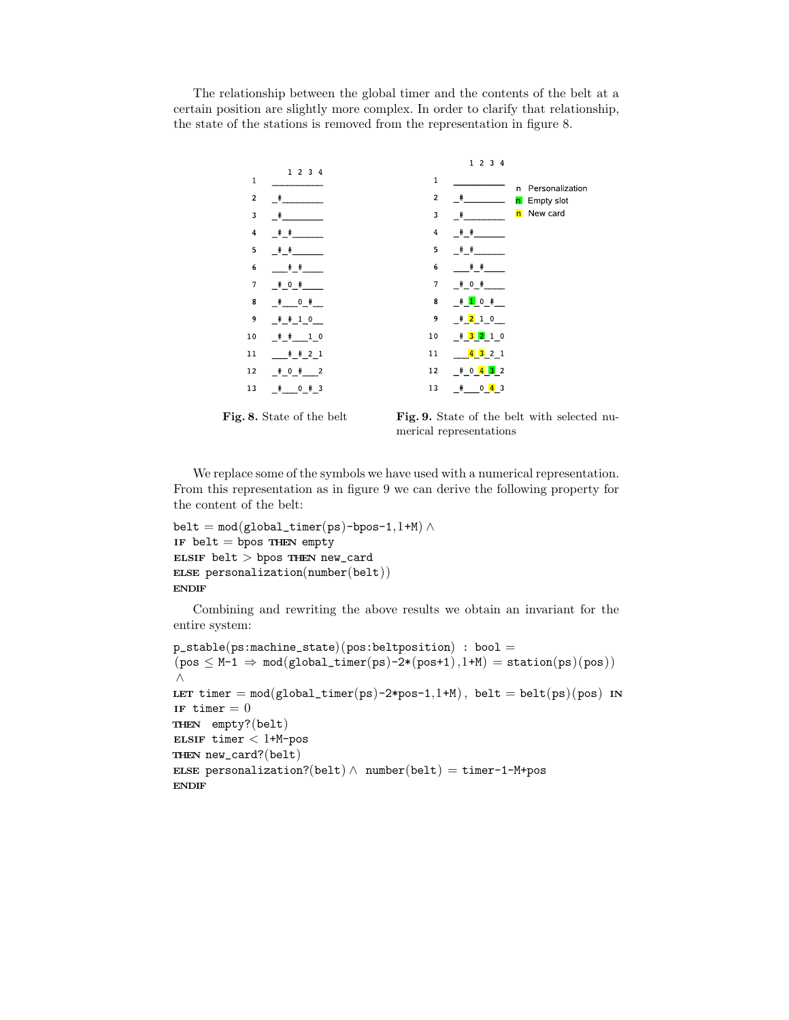The relationship between the global timer and the contents of the belt at a certain position are slightly more complex. In order to clarify that relationship, the state of the stations is removed from the representation in figure 8.

|                         |                           |                  | 1 2 3 4                                                   |                      |
|-------------------------|---------------------------|------------------|-----------------------------------------------------------|----------------------|
| $\mathbf 1$             | 1 2 3 4                   | $\mathbf{1}$     |                                                           | Personalization<br>n |
| $\overline{\mathbf{c}}$ | $\pmb{\ast}$              | $\mathbf 2$      | #                                                         | Empty slot<br>n      |
| 3                       | $\pmb{\ast}$              | 3                | #                                                         | New card<br>n        |
| $\bf{4}$                | $#$ #                     | $\overline{4}$   | #                                                         |                      |
| 5                       | $\pm$ $\pm$               | 5                | $+$ $+$                                                   |                      |
| 6                       | #                         | 6                | $\begin{array}{cc} \texttt{\#} & \texttt{\#} \end{array}$ |                      |
| $\overline{7}$          | # 0 #                     | $\boldsymbol{7}$ | $# 0 +$                                                   |                      |
| 8                       | #<br>$0$ #                | 8                | # 1 0                                                     |                      |
| 9                       | # # 1 0                   | 9                | # 2 1 0                                                   |                      |
| 10                      | $#$ #<br>$1\quad$         | 10               | $\frac{1}{2}$ 3 2 1 0                                     |                      |
| 11                      | # # 2 1                   | 11               | 4321                                                      |                      |
| 12                      | $# 0$ #<br>$\overline{c}$ | 12               | $\# 0$ 4 3 2                                              |                      |
| 13                      | $0 + 3$<br>#              | 13               | $0\overline{4}3$<br>#                                     |                      |
|                         |                           |                  |                                                           |                      |

Fig. 8. State of the belt Fig. 9. State of the belt with selected numerical representations

We replace some of the symbols we have used with a numerical representation. From this representation as in figure 9 we can derive the following property for the content of the belt:

```
belt = mod(global_timer(ps)-bpos-1,1+M) \wedgeIF belt = bpos THEN empty
ELSIF belt > bpos THEN new_card
ELSE personalization(number(belt))
ENDIF
```
Combining and rewriting the above results we obtain an invariant for the entire system:

```
p_{\text{stable}}(ps:machine\_state)(pos:beltposition) : bool =(pos \leq M-1 \Rightarrow mod(global_timer(ps)-2*(pos+1),1+M) = station(ps)(pos))∧
LET timer = mod(global_timer(ps)-2*pos-1,1+M), belt = belt(ps)(pos) IN
IF timer = 0THEN empty?(belt)
ELSIF timer < 1 + M-pos
THEN new_card?(belt)
ELSE personalization?(belt) \land number(belt) = timer-1-M+pos
ENDIF
```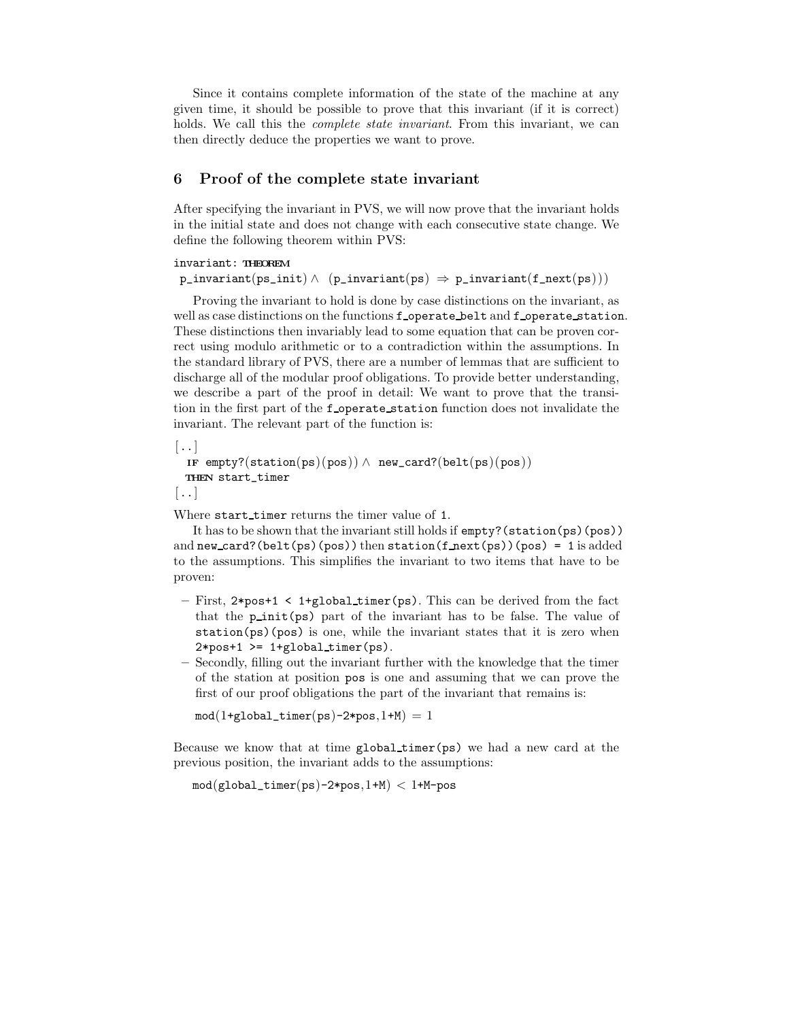Since it contains complete information of the state of the machine at any given time, it should be possible to prove that this invariant (if it is correct) holds. We call this the *complete state invariant*. From this invariant, we can then directly deduce the properties we want to prove.

## 6 Proof of the complete state invariant

After specifying the invariant in PVS, we will now prove that the invariant holds in the initial state and does not change with each consecutive state change. We define the following theorem within PVS:

```
invariant: THEOREM
```

```
p_invariant(ps_init) \wedge (p_invariant(ps) \Rightarrow p_invariant(f.next(ps)))
```
Proving the invariant to hold is done by case distinctions on the invariant, as well as case distinctions on the functions f operate belt and f operate station. These distinctions then invariably lead to some equation that can be proven correct using modulo arithmetic or to a contradiction within the assumptions. In the standard library of PVS, there are a number of lemmas that are sufficient to discharge all of the modular proof obligations. To provide better understanding, we describe a part of the proof in detail: We want to prove that the transition in the first part of the fore perate station function does not invalidate the invariant. The relevant part of the function is:

 $\left[ \ldots \right]$ 

```
IF empty?(station(ps)(pos)) \wedge new-card?(belt(ps)(pos))THEN start_timer
|...|
```
Where start timer returns the timer value of 1.

It has to be shown that the invariant still holds if empty?(station(ps)(pos)) and  $new-card?(belt(ps)(pos))$  then station( $f.next(ps))(pos) = 1$  is added to the assumptions. This simplifies the invariant to two items that have to be proven:

- First, 2\*pos+1 < 1+global timer(ps). This can be derived from the fact that the  $p\_init(ps)$  part of the invariant has to be false. The value of station(ps)(pos) is one, while the invariant states that it is zero when  $2*pos+1$  >=  $1+global_time(ps)$ .
- Secondly, filling out the invariant further with the knowledge that the timer of the station at position pos is one and assuming that we can prove the first of our proof obligations the part of the invariant that remains is:

```
mod(1+global_timer(ps)-2*pos,1+M) = 1
```
Because we know that at time global timer(ps) we had a new card at the previous position, the invariant adds to the assumptions:

 $mod(global_timer(ps)-2*pos,1+M) < 1+M-pos$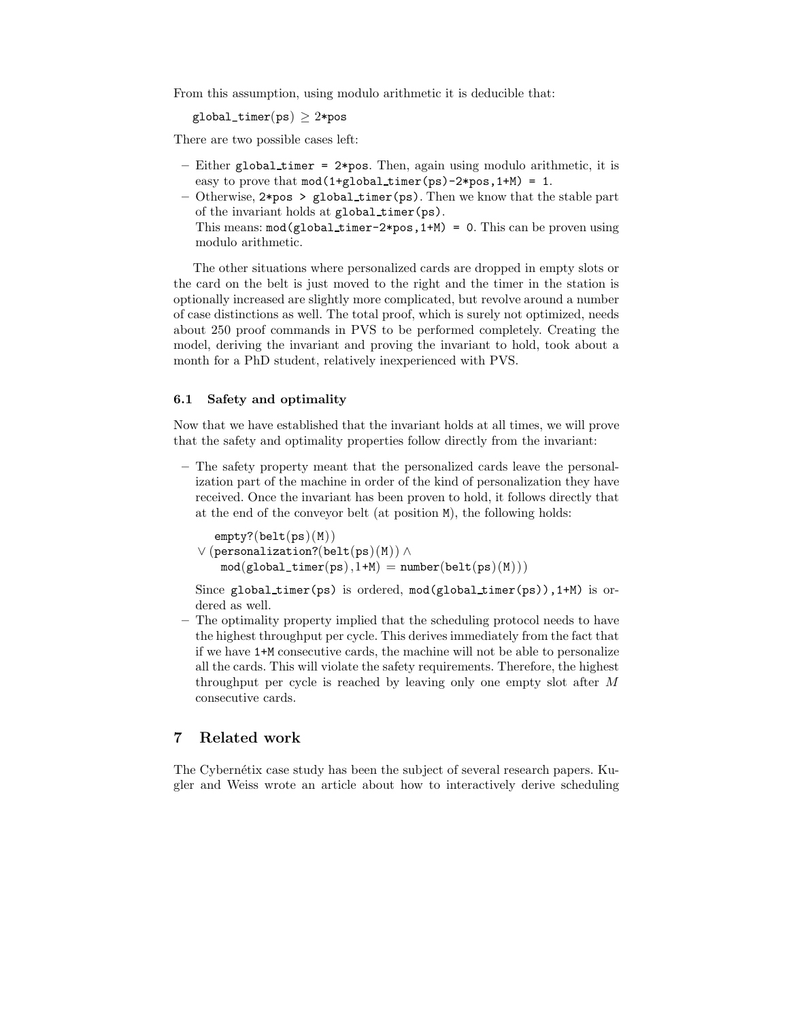From this assumption, using modulo arithmetic it is deducible that:

 $global_timer(ps) \geq 2*pos$ 

There are two possible cases left:

- $-$  Either global timer = 2\*pos. Then, again using modulo arithmetic, it is easy to prove that  $mod(1+global_timer(ps)-2*pos,1+M) = 1$ .
- Otherwise,  $2*pos > global_timer(ps)$ . Then we know that the stable part of the invariant holds at global timer(ps).
	- This means:  $mod(global_timer-2*pos,1+M) = 0$ . This can be proven using modulo arithmetic.

The other situations where personalized cards are dropped in empty slots or the card on the belt is just moved to the right and the timer in the station is optionally increased are slightly more complicated, but revolve around a number of case distinctions as well. The total proof, which is surely not optimized, needs about 250 proof commands in PVS to be performed completely. Creating the model, deriving the invariant and proving the invariant to hold, took about a month for a PhD student, relatively inexperienced with PVS.

#### 6.1 Safety and optimality

Now that we have established that the invariant holds at all times, we will prove that the safety and optimality properties follow directly from the invariant:

– The safety property meant that the personalized cards leave the personalization part of the machine in order of the kind of personalization they have received. Once the invariant has been proven to hold, it follows directly that at the end of the conveyor belt (at position M), the following holds:

```
empty?(belt(ps)(M))∨ (personalization?(belt(ps)(M)) ∧
   mod(global_timer(ps),1+M) = number(belt(ps)(M)))
```
Since global timer(ps) is ordered,  $mod(global_time(ps))$ ,  $1+M$ ) is ordered as well.

– The optimality property implied that the scheduling protocol needs to have the highest throughput per cycle. This derives immediately from the fact that if we have 1+M consecutive cards, the machine will not be able to personalize all the cards. This will violate the safety requirements. Therefore, the highest throughput per cycle is reached by leaving only one empty slot after M consecutive cards.

#### 7 Related work

The Cybernétix case study has been the subject of several research papers. Kugler and Weiss wrote an article about how to interactively derive scheduling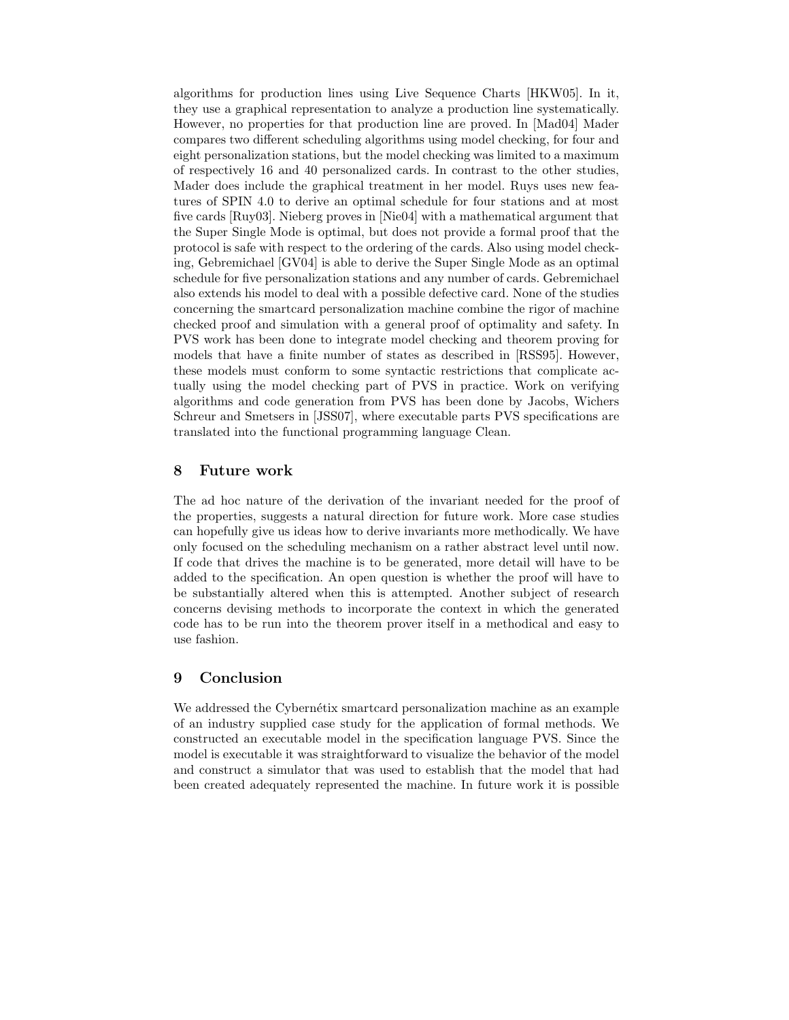algorithms for production lines using Live Sequence Charts [HKW05]. In it, they use a graphical representation to analyze a production line systematically. However, no properties for that production line are proved. In [Mad04] Mader compares two different scheduling algorithms using model checking, for four and eight personalization stations, but the model checking was limited to a maximum of respectively 16 and 40 personalized cards. In contrast to the other studies, Mader does include the graphical treatment in her model. Ruys uses new features of SPIN 4.0 to derive an optimal schedule for four stations and at most five cards [Ruy03]. Nieberg proves in [Nie04] with a mathematical argument that the Super Single Mode is optimal, but does not provide a formal proof that the protocol is safe with respect to the ordering of the cards. Also using model checking, Gebremichael [GV04] is able to derive the Super Single Mode as an optimal schedule for five personalization stations and any number of cards. Gebremichael also extends his model to deal with a possible defective card. None of the studies concerning the smartcard personalization machine combine the rigor of machine checked proof and simulation with a general proof of optimality and safety. In PVS work has been done to integrate model checking and theorem proving for models that have a finite number of states as described in [RSS95]. However, these models must conform to some syntactic restrictions that complicate actually using the model checking part of PVS in practice. Work on verifying algorithms and code generation from PVS has been done by Jacobs, Wichers Schreur and Smetsers in [JSS07], where executable parts PVS specifications are translated into the functional programming language Clean.

### 8 Future work

The ad hoc nature of the derivation of the invariant needed for the proof of the properties, suggests a natural direction for future work. More case studies can hopefully give us ideas how to derive invariants more methodically. We have only focused on the scheduling mechanism on a rather abstract level until now. If code that drives the machine is to be generated, more detail will have to be added to the specification. An open question is whether the proof will have to be substantially altered when this is attempted. Another subject of research concerns devising methods to incorporate the context in which the generated code has to be run into the theorem prover itself in a methodical and easy to use fashion.

#### 9 Conclusion

We addressed the Cybernétix smartcard personalization machine as an example of an industry supplied case study for the application of formal methods. We constructed an executable model in the specification language PVS. Since the model is executable it was straightforward to visualize the behavior of the model and construct a simulator that was used to establish that the model that had been created adequately represented the machine. In future work it is possible